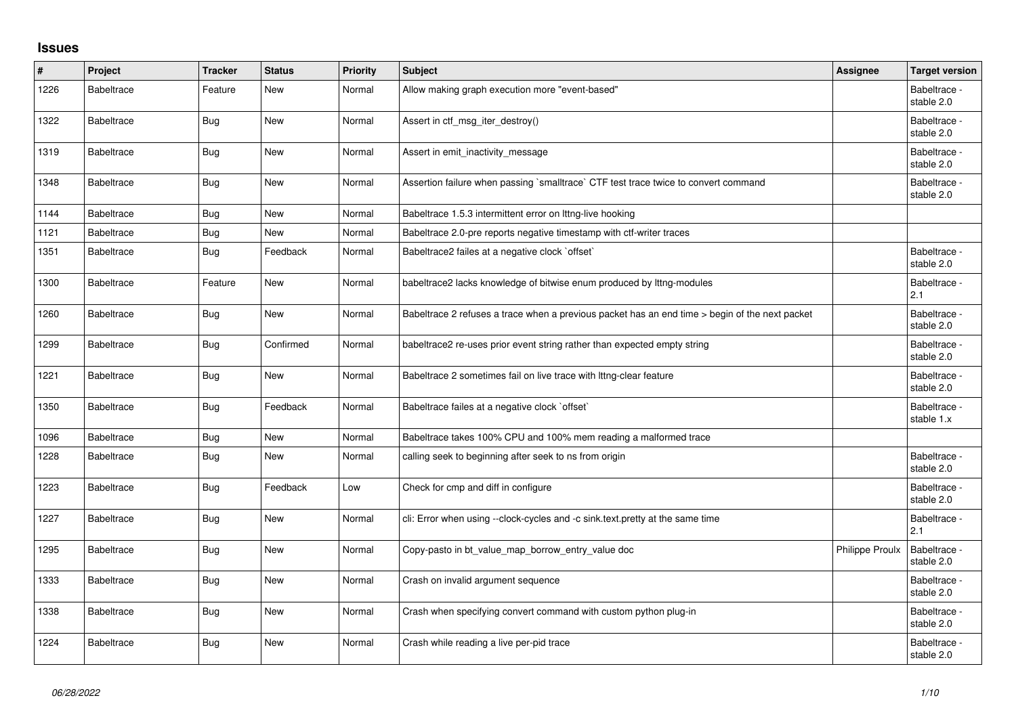## **Issues**

| $\#$ | Project           | <b>Tracker</b> | <b>Status</b> | <b>Priority</b> | <b>Subject</b>                                                                                 | Assignee               | <b>Target version</b>      |
|------|-------------------|----------------|---------------|-----------------|------------------------------------------------------------------------------------------------|------------------------|----------------------------|
| 1226 | <b>Babeltrace</b> | Feature        | <b>New</b>    | Normal          | Allow making graph execution more "event-based"                                                |                        | Babeltrace -<br>stable 2.0 |
| 1322 | <b>Babeltrace</b> | Bug            | New           | Normal          | Assert in ctf msg iter destroy()                                                               |                        | Babeltrace -<br>stable 2.0 |
| 1319 | <b>Babeltrace</b> | Bug            | New           | Normal          | Assert in emit_inactivity_message                                                              |                        | Babeltrace -<br>stable 2.0 |
| 1348 | <b>Babeltrace</b> | Bug            | New           | Normal          | Assertion failure when passing `smalltrace` CTF test trace twice to convert command            |                        | Babeltrace -<br>stable 2.0 |
| 1144 | <b>Babeltrace</b> | Bug            | New           | Normal          | Babeltrace 1.5.3 intermittent error on Ittng-live hooking                                      |                        |                            |
| 1121 | <b>Babeltrace</b> | Bug            | New           | Normal          | Babeltrace 2.0-pre reports negative timestamp with ctf-writer traces                           |                        |                            |
| 1351 | <b>Babeltrace</b> | Bug            | Feedback      | Normal          | Babeltrace2 failes at a negative clock `offset`                                                |                        | Babeltrace -<br>stable 2.0 |
| 1300 | <b>Babeltrace</b> | Feature        | <b>New</b>    | Normal          | babeltrace2 lacks knowledge of bitwise enum produced by lttng-modules                          |                        | Babeltrace -<br>2.1        |
| 1260 | <b>Babeltrace</b> | Bug            | New           | Normal          | Babeltrace 2 refuses a trace when a previous packet has an end time > begin of the next packet |                        | Babeltrace -<br>stable 2.0 |
| 1299 | <b>Babeltrace</b> | Bug            | Confirmed     | Normal          | babeltrace2 re-uses prior event string rather than expected empty string                       |                        | Babeltrace -<br>stable 2.0 |
| 1221 | <b>Babeltrace</b> | Bug            | <b>New</b>    | Normal          | Babeltrace 2 sometimes fail on live trace with Ittng-clear feature                             |                        | Babeltrace -<br>stable 2.0 |
| 1350 | <b>Babeltrace</b> | Bug            | Feedback      | Normal          | Babeltrace failes at a negative clock `offset`                                                 |                        | Babeltrace -<br>stable 1.x |
| 1096 | <b>Babeltrace</b> | <b>Bug</b>     | New           | Normal          | Babeltrace takes 100% CPU and 100% mem reading a malformed trace                               |                        |                            |
| 1228 | <b>Babeltrace</b> | Bug            | New           | Normal          | calling seek to beginning after seek to ns from origin                                         |                        | Babeltrace -<br>stable 2.0 |
| 1223 | <b>Babeltrace</b> | Bug            | Feedback      | Low             | Check for cmp and diff in configure                                                            |                        | Babeltrace -<br>stable 2.0 |
| 1227 | <b>Babeltrace</b> | Bug            | <b>New</b>    | Normal          | cli: Error when using --clock-cycles and -c sink.text.pretty at the same time                  |                        | Babeltrace -<br>2.1        |
| 1295 | <b>Babeltrace</b> | <b>Bug</b>     | <b>New</b>    | Normal          | Copy-pasto in bt_value_map_borrow_entry_value doc                                              | <b>Philippe Proulx</b> | Babeltrace -<br>stable 2.0 |
| 1333 | <b>Babeltrace</b> | Bug            | New           | Normal          | Crash on invalid argument sequence                                                             |                        | Babeltrace -<br>stable 2.0 |
| 1338 | <b>Babeltrace</b> | Bug            | New           | Normal          | Crash when specifying convert command with custom python plug-in                               |                        | Babeltrace -<br>stable 2.0 |
| 1224 | <b>Babeltrace</b> | Bug            | New           | Normal          | Crash while reading a live per-pid trace                                                       |                        | Babeltrace -<br>stable 2.0 |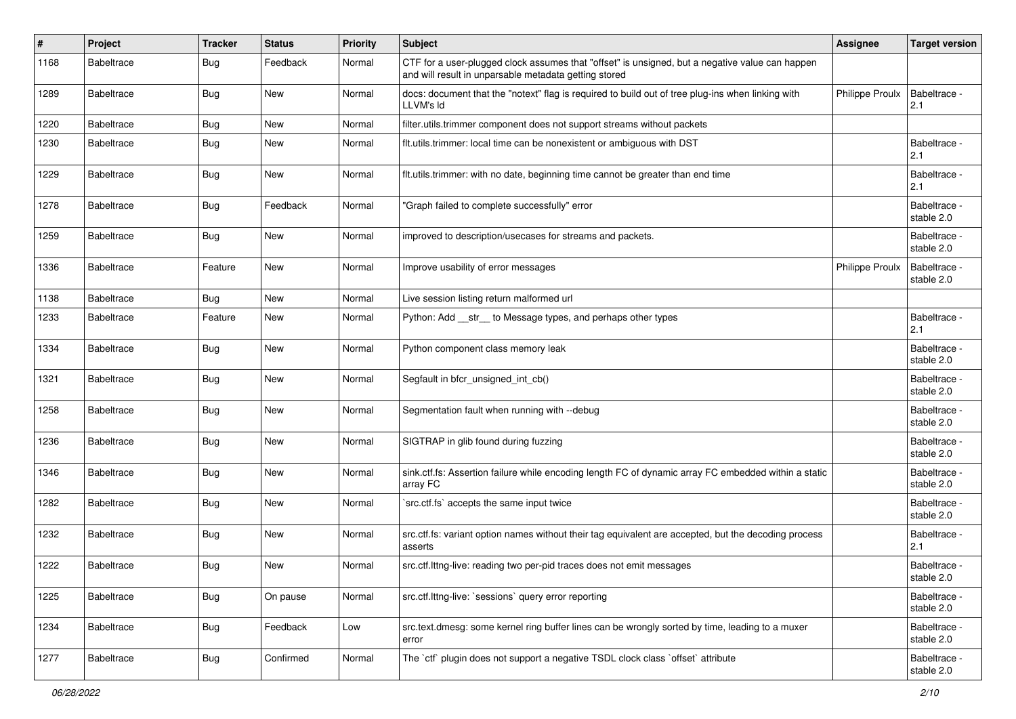| $\#$ | Project           | <b>Tracker</b> | <b>Status</b> | <b>Priority</b> | Subject                                                                                                                                                  | Assignee               | <b>Target version</b>      |
|------|-------------------|----------------|---------------|-----------------|----------------------------------------------------------------------------------------------------------------------------------------------------------|------------------------|----------------------------|
| 1168 | <b>Babeltrace</b> | Bug            | Feedback      | Normal          | CTF for a user-plugged clock assumes that "offset" is unsigned, but a negative value can happen<br>and will result in unparsable metadata getting stored |                        |                            |
| 1289 | <b>Babeltrace</b> | Bug            | New           | Normal          | docs: document that the "notext" flag is required to build out of tree plug-ins when linking with<br>LLVM's Id                                           | Philippe Proulx        | Babeltrace -<br>2.1        |
| 1220 | <b>Babeltrace</b> | Bug            | New           | Normal          | filter.utils.trimmer component does not support streams without packets                                                                                  |                        |                            |
| 1230 | <b>Babeltrace</b> | Bug            | New           | Normal          | flt.utils.trimmer: local time can be nonexistent or ambiguous with DST                                                                                   |                        | Babeltrace -<br>2.1        |
| 1229 | <b>Babeltrace</b> | Bug            | New           | Normal          | flt.utils.trimmer: with no date, beginning time cannot be greater than end time                                                                          |                        | Babeltrace -<br>2.1        |
| 1278 | <b>Babeltrace</b> | Bug            | Feedback      | Normal          | 'Graph failed to complete successfully" error                                                                                                            |                        | Babeltrace -<br>stable 2.0 |
| 1259 | <b>Babeltrace</b> | Bug            | New           | Normal          | improved to description/usecases for streams and packets.                                                                                                |                        | Babeltrace -<br>stable 2.0 |
| 1336 | <b>Babeltrace</b> | Feature        | New           | Normal          | Improve usability of error messages                                                                                                                      | <b>Philippe Proulx</b> | Babeltrace -<br>stable 2.0 |
| 1138 | <b>Babeltrace</b> | <b>Bug</b>     | New           | Normal          | Live session listing return malformed url                                                                                                                |                        |                            |
| 1233 | <b>Babeltrace</b> | Feature        | New           | Normal          | Python: Add __str__ to Message types, and perhaps other types                                                                                            |                        | Babeltrace -<br>2.1        |
| 1334 | <b>Babeltrace</b> | Bug            | New           | Normal          | Python component class memory leak                                                                                                                       |                        | Babeltrace -<br>stable 2.0 |
| 1321 | <b>Babeltrace</b> | Bug            | New           | Normal          | Segfault in bfcr_unsigned_int_cb()                                                                                                                       |                        | Babeltrace -<br>stable 2.0 |
| 1258 | <b>Babeltrace</b> | Bug            | New           | Normal          | Segmentation fault when running with --debug                                                                                                             |                        | Babeltrace -<br>stable 2.0 |
| 1236 | <b>Babeltrace</b> | <b>Bug</b>     | New           | Normal          | SIGTRAP in glib found during fuzzing                                                                                                                     |                        | Babeltrace -<br>stable 2.0 |
| 1346 | <b>Babeltrace</b> | <b>Bug</b>     | New           | Normal          | sink.ctf.fs: Assertion failure while encoding length FC of dynamic array FC embedded within a static<br>array FC                                         |                        | Babeltrace -<br>stable 2.0 |
| 1282 | <b>Babeltrace</b> | Bug            | New           | Normal          | src.ctf.fs' accepts the same input twice                                                                                                                 |                        | Babeltrace -<br>stable 2.0 |
| 1232 | <b>Babeltrace</b> | Bug            | New           | Normal          | src.ctf.fs: variant option names without their tag equivalent are accepted, but the decoding process<br>asserts                                          |                        | Babeltrace -<br>2.1        |
| 1222 | <b>Babeltrace</b> | Bug            | New           | Normal          | src.ctf.lttng-live: reading two per-pid traces does not emit messages                                                                                    |                        | Babeltrace -<br>stable 2.0 |
| 1225 | <b>Babeltrace</b> | <b>Bug</b>     | On pause      | Normal          | src.ctf.lttng-live: `sessions` query error reporting                                                                                                     |                        | Babeltrace -<br>stable 2.0 |
| 1234 | Babeltrace        | <b>Bug</b>     | Feedback      | Low             | src.text.dmesg: some kernel ring buffer lines can be wrongly sorted by time, leading to a muxer<br>error                                                 |                        | Babeltrace -<br>stable 2.0 |
| 1277 | Babeltrace        | <b>Bug</b>     | Confirmed     | Normal          | The `ctf` plugin does not support a negative TSDL clock class `offset` attribute                                                                         |                        | Babeltrace -<br>stable 2.0 |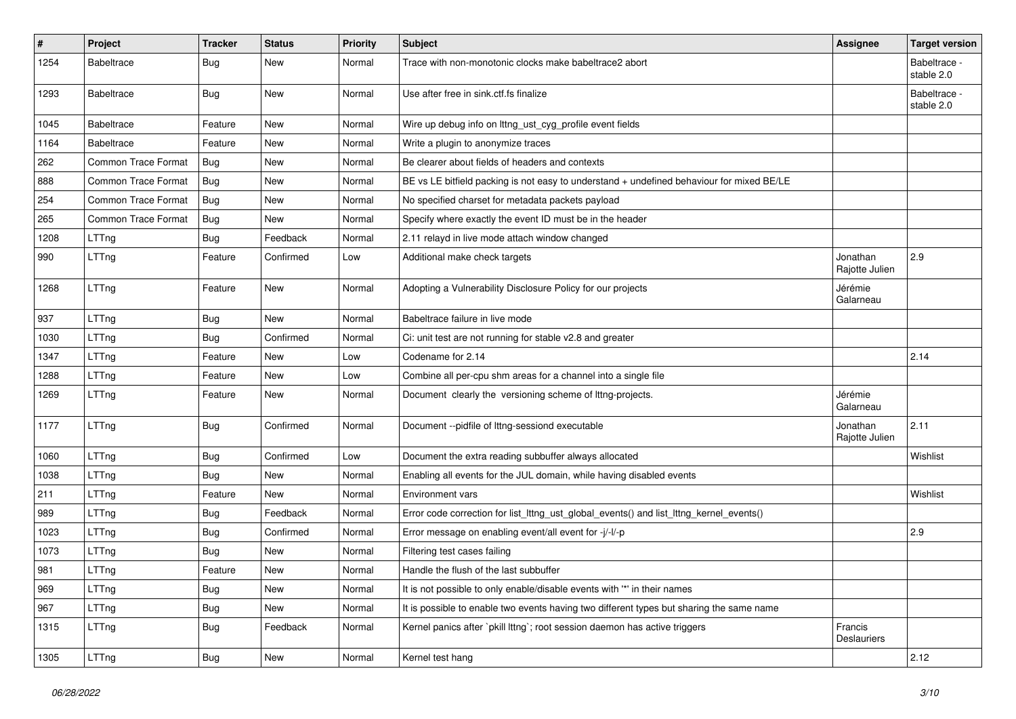| $\pmb{\#}$ | Project                    | Tracker    | <b>Status</b> | <b>Priority</b> | Subject                                                                                   | Assignee                   | <b>Target version</b>      |
|------------|----------------------------|------------|---------------|-----------------|-------------------------------------------------------------------------------------------|----------------------------|----------------------------|
| 1254       | <b>Babeltrace</b>          | Bug        | New           | Normal          | Trace with non-monotonic clocks make babeltrace2 abort                                    |                            | Babeltrace -<br>stable 2.0 |
| 1293       | <b>Babeltrace</b>          | Bug        | New           | Normal          | Use after free in sink.ctf.fs finalize                                                    |                            | Babeltrace -<br>stable 2.0 |
| 1045       | <b>Babeltrace</b>          | Feature    | New           | Normal          | Wire up debug info on lttng_ust_cyg_profile event fields                                  |                            |                            |
| 1164       | <b>Babeltrace</b>          | Feature    | New           | Normal          | Write a plugin to anonymize traces                                                        |                            |                            |
| 262        | <b>Common Trace Format</b> | <b>Bug</b> | <b>New</b>    | Normal          | Be clearer about fields of headers and contexts                                           |                            |                            |
| 888        | <b>Common Trace Format</b> | Bug        | New           | Normal          | BE vs LE bitfield packing is not easy to understand + undefined behaviour for mixed BE/LE |                            |                            |
| 254        | <b>Common Trace Format</b> | <b>Bug</b> | New           | Normal          | No specified charset for metadata packets payload                                         |                            |                            |
| 265        | <b>Common Trace Format</b> | Bug        | New           | Normal          | Specify where exactly the event ID must be in the header                                  |                            |                            |
| 1208       | LTTng                      | Bug        | Feedback      | Normal          | 2.11 relayd in live mode attach window changed                                            |                            |                            |
| 990        | LTTng                      | Feature    | Confirmed     | Low             | Additional make check targets                                                             | Jonathan<br>Rajotte Julien | 2.9                        |
| 1268       | LTTng                      | Feature    | New           | Normal          | Adopting a Vulnerability Disclosure Policy for our projects                               | Jérémie<br>Galarneau       |                            |
| 937        | LTTng                      | <b>Bug</b> | New           | Normal          | Babeltrace failure in live mode                                                           |                            |                            |
| 1030       | LTTng                      | Bug        | Confirmed     | Normal          | Ci: unit test are not running for stable v2.8 and greater                                 |                            |                            |
| 1347       | LTTng                      | Feature    | New           | Low             | Codename for 2.14                                                                         |                            | 2.14                       |
| 1288       | LTTng                      | Feature    | New           | Low             | Combine all per-cpu shm areas for a channel into a single file                            |                            |                            |
| 1269       | LTTng                      | Feature    | New           | Normal          | Document clearly the versioning scheme of lttng-projects.                                 | Jérémie<br>Galarneau       |                            |
| 1177       | LTTng                      | Bug        | Confirmed     | Normal          | Document --pidfile of lttng-sessiond executable                                           | Jonathan<br>Rajotte Julien | 2.11                       |
| 1060       | LTTng                      | <b>Bug</b> | Confirmed     | Low             | Document the extra reading subbuffer always allocated                                     |                            | Wishlist                   |
| 1038       | LTTng                      | Bug        | New           | Normal          | Enabling all events for the JUL domain, while having disabled events                      |                            |                            |
| 211        | LTTng                      | Feature    | New           | Normal          | <b>Environment vars</b>                                                                   |                            | Wishlist                   |
| 989        | LTTng                      | <b>Bug</b> | Feedback      | Normal          | Error code correction for list_lttng_ust_global_events() and list_lttng_kernel_events()   |                            |                            |
| 1023       | LTTng                      | <b>Bug</b> | Confirmed     | Normal          | Error message on enabling event/all event for -j/-l/-p                                    |                            | 2.9                        |
| 1073       | LTTng                      | Bug        | New           | Normal          | Filtering test cases failing                                                              |                            |                            |
| 981        | LTTng                      | Feature    | New           | Normal          | Handle the flush of the last subbuffer                                                    |                            |                            |
| 969        | LTTng                      | <b>Bug</b> | New           | Normal          | It is not possible to only enable/disable events with "*' in their names                  |                            |                            |
| 967        | LTTng                      | <b>Bug</b> | New           | Normal          | It is possible to enable two events having two different types but sharing the same name  |                            |                            |
| 1315       | LTTng                      | Bug        | Feedback      | Normal          | Kernel panics after `pkill lttng`; root session daemon has active triggers                | Francis<br>Deslauriers     |                            |
| 1305       | LTTng                      | <b>Bug</b> | New           | Normal          | Kernel test hang                                                                          |                            | 2.12                       |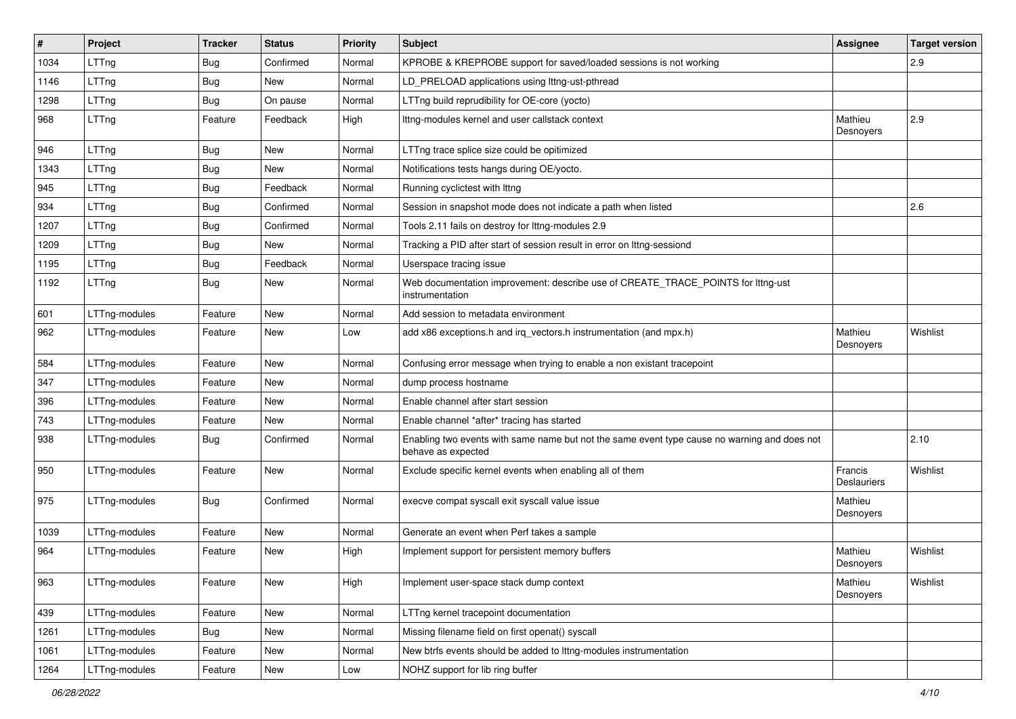| $\sharp$ | Project       | <b>Tracker</b> | <b>Status</b> | <b>Priority</b> | Subject                                                                                                            | <b>Assignee</b>               | <b>Target version</b> |
|----------|---------------|----------------|---------------|-----------------|--------------------------------------------------------------------------------------------------------------------|-------------------------------|-----------------------|
| 1034     | LTTng         | Bug            | Confirmed     | Normal          | KPROBE & KREPROBE support for saved/loaded sessions is not working                                                 |                               | 2.9                   |
| 1146     | LTTng         | Bug            | New           | Normal          | LD_PRELOAD applications using lttng-ust-pthread                                                                    |                               |                       |
| 1298     | LTTng         | Bug            | On pause      | Normal          | LTTng build reprudibility for OE-core (yocto)                                                                      |                               |                       |
| 968      | LTTng         | Feature        | Feedback      | High            | Ittng-modules kernel and user callstack context                                                                    | Mathieu<br>Desnoyers          | 2.9                   |
| 946      | LTTng         | Bug            | New           | Normal          | LTTng trace splice size could be opitimized                                                                        |                               |                       |
| 1343     | LTTng         | Bug            | New           | Normal          | Notifications tests hangs during OE/yocto.                                                                         |                               |                       |
| 945      | LTTng         | <b>Bug</b>     | Feedback      | Normal          | Running cyclictest with Ittng                                                                                      |                               |                       |
| 934      | LTTng         | Bug            | Confirmed     | Normal          | Session in snapshot mode does not indicate a path when listed                                                      |                               | 2.6                   |
| 1207     | LTTng         | <b>Bug</b>     | Confirmed     | Normal          | Tools 2.11 fails on destroy for lttng-modules 2.9                                                                  |                               |                       |
| 1209     | LTTng         | Bug            | New           | Normal          | Tracking a PID after start of session result in error on Ittng-sessiond                                            |                               |                       |
| 1195     | LTTng         | <b>Bug</b>     | Feedback      | Normal          | Userspace tracing issue                                                                                            |                               |                       |
| 1192     | LTTng         | <b>Bug</b>     | New           | Normal          | Web documentation improvement: describe use of CREATE_TRACE_POINTS for lttng-ust<br>instrumentation                |                               |                       |
| 601      | LTTng-modules | Feature        | New           | Normal          | Add session to metadata environment                                                                                |                               |                       |
| 962      | LTTng-modules | Feature        | New           | Low             | add x86 exceptions.h and irq_vectors.h instrumentation (and mpx.h)                                                 | Mathieu<br>Desnoyers          | Wishlist              |
| 584      | LTTng-modules | Feature        | New           | Normal          | Confusing error message when trying to enable a non existant tracepoint                                            |                               |                       |
| 347      | LTTng-modules | Feature        | New           | Normal          | dump process hostname                                                                                              |                               |                       |
| 396      | LTTng-modules | Feature        | New           | Normal          | Enable channel after start session                                                                                 |                               |                       |
| 743      | LTTng-modules | Feature        | New           | Normal          | Enable channel *after* tracing has started                                                                         |                               |                       |
| 938      | LTTng-modules | <b>Bug</b>     | Confirmed     | Normal          | Enabling two events with same name but not the same event type cause no warning and does not<br>behave as expected |                               | 2.10                  |
| 950      | LTTng-modules | Feature        | New           | Normal          | Exclude specific kernel events when enabling all of them                                                           | Francis<br><b>Deslauriers</b> | Wishlist              |
| 975      | LTTng-modules | <b>Bug</b>     | Confirmed     | Normal          | execve compat syscall exit syscall value issue                                                                     | Mathieu<br>Desnovers          |                       |
| 1039     | LTTng-modules | Feature        | New           | Normal          | Generate an event when Perf takes a sample                                                                         |                               |                       |
| 964      | LTTng-modules | Feature        | New           | High            | Implement support for persistent memory buffers                                                                    | Mathieu<br>Desnoyers          | Wishlist              |
| 963      | LTTng-modules | Feature        | New           | High            | Implement user-space stack dump context                                                                            | Mathieu<br>Desnoyers          | Wishlist              |
| 439      | LTTng-modules | Feature        | New           | Normal          | LTTng kernel tracepoint documentation                                                                              |                               |                       |
| 1261     | LTTng-modules | Bug            | New           | Normal          | Missing filename field on first openat() syscall                                                                   |                               |                       |
| 1061     | LTTng-modules | Feature        | New           | Normal          | New btrfs events should be added to lttng-modules instrumentation                                                  |                               |                       |
| 1264     | LTTng-modules | Feature        | New           | Low             | NOHZ support for lib ring buffer                                                                                   |                               |                       |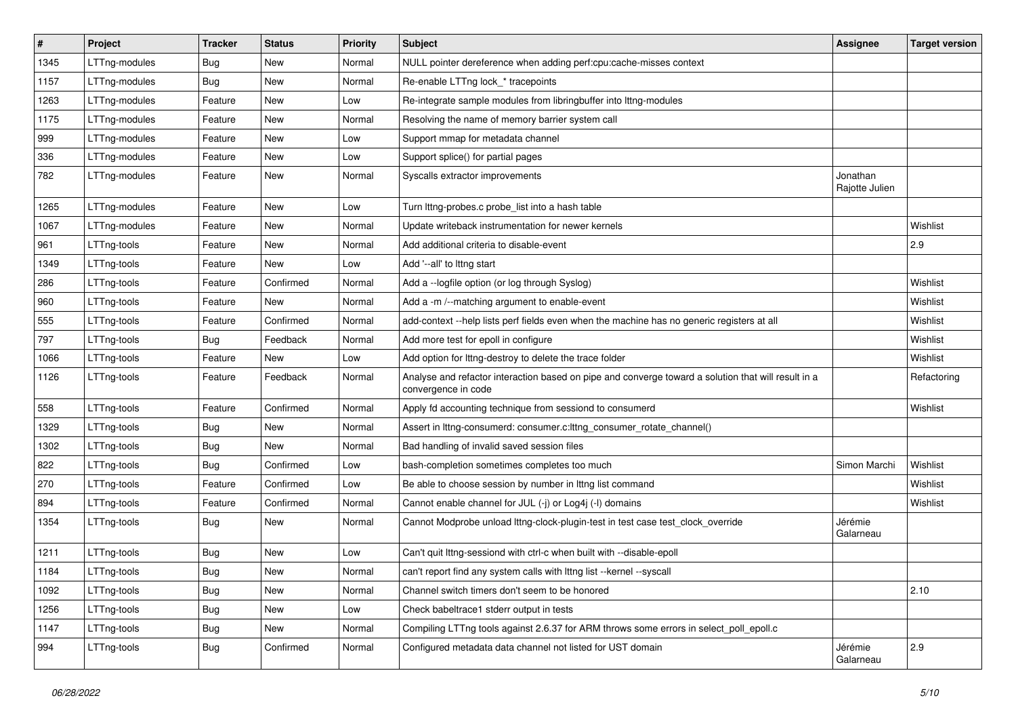| $\vert$ # | Project       | <b>Tracker</b> | <b>Status</b> | Priority | <b>Subject</b>                                                                                                             | <b>Assignee</b>            | <b>Target version</b> |
|-----------|---------------|----------------|---------------|----------|----------------------------------------------------------------------------------------------------------------------------|----------------------------|-----------------------|
| 1345      | LTTng-modules | <b>Bug</b>     | New           | Normal   | NULL pointer dereference when adding perf:cpu:cache-misses context                                                         |                            |                       |
| 1157      | LTTng-modules | <b>Bug</b>     | New           | Normal   | Re-enable LTTng lock_* tracepoints                                                                                         |                            |                       |
| 1263      | LTTng-modules | Feature        | New           | Low      | Re-integrate sample modules from libringbuffer into Ittng-modules                                                          |                            |                       |
| 1175      | LTTng-modules | Feature        | New           | Normal   | Resolving the name of memory barrier system call                                                                           |                            |                       |
| 999       | LTTng-modules | Feature        | New           | Low      | Support mmap for metadata channel                                                                                          |                            |                       |
| 336       | LTTng-modules | Feature        | New           | Low      | Support splice() for partial pages                                                                                         |                            |                       |
| 782       | LTTng-modules | Feature        | New           | Normal   | Syscalls extractor improvements                                                                                            | Jonathan<br>Rajotte Julien |                       |
| 1265      | LTTng-modules | Feature        | New           | Low      | Turn lttng-probes.c probe_list into a hash table                                                                           |                            |                       |
| 1067      | LTTng-modules | Feature        | New           | Normal   | Update writeback instrumentation for newer kernels                                                                         |                            | Wishlist              |
| 961       | LTTng-tools   | Feature        | New           | Normal   | Add additional criteria to disable-event                                                                                   |                            | 2.9                   |
| 1349      | LTTng-tools   | Feature        | New           | Low      | Add '--all' to lttng start                                                                                                 |                            |                       |
| 286       | LTTng-tools   | Feature        | Confirmed     | Normal   | Add a -- logfile option (or log through Syslog)                                                                            |                            | Wishlist              |
| 960       | LTTng-tools   | Feature        | New           | Normal   | Add a -m /--matching argument to enable-event                                                                              |                            | Wishlist              |
| 555       | LTTng-tools   | Feature        | Confirmed     | Normal   | add-context --help lists perf fields even when the machine has no generic registers at all                                 |                            | Wishlist              |
| 797       | LTTng-tools   | <b>Bug</b>     | Feedback      | Normal   | Add more test for epoll in configure                                                                                       |                            | Wishlist              |
| 1066      | LTTng-tools   | Feature        | New           | Low      | Add option for lttng-destroy to delete the trace folder                                                                    |                            | Wishlist              |
| 1126      | LTTng-tools   | Feature        | Feedback      | Normal   | Analyse and refactor interaction based on pipe and converge toward a solution that will result in a<br>convergence in code |                            | Refactoring           |
| 558       | LTTng-tools   | Feature        | Confirmed     | Normal   | Apply fd accounting technique from sessiond to consumerd                                                                   |                            | Wishlist              |
| 1329      | LTTng-tools   | <b>Bug</b>     | New           | Normal   | Assert in lttng-consumerd: consumer.c:lttng_consumer_rotate_channel()                                                      |                            |                       |
| 1302      | LTTng-tools   | <b>Bug</b>     | New           | Normal   | Bad handling of invalid saved session files                                                                                |                            |                       |
| 822       | LTTng-tools   | <b>Bug</b>     | Confirmed     | Low      | bash-completion sometimes completes too much                                                                               | Simon Marchi               | Wishlist              |
| 270       | LTTng-tools   | Feature        | Confirmed     | Low      | Be able to choose session by number in Ittng list command                                                                  |                            | Wishlist              |
| 894       | LTTng-tools   | Feature        | Confirmed     | Normal   | Cannot enable channel for JUL (-j) or Log4j (-l) domains                                                                   |                            | Wishlist              |
| 1354      | LTTng-tools   | Bug            | New           | Normal   | Cannot Modprobe unload lttng-clock-plugin-test in test case test_clock_override                                            | Jérémie<br>Galarneau       |                       |
| 1211      | LTTng-tools   | <b>Bug</b>     | New           | Low      | Can't quit lttng-sessiond with ctrl-c when built with --disable-epoll                                                      |                            |                       |
| 1184      | LTTng-tools   | Bug            | New           | Normal   | can't report find any system calls with lttng list --kernel --syscall                                                      |                            |                       |
| 1092      | LTTng-tools   | <b>Bug</b>     | New           | Normal   | Channel switch timers don't seem to be honored                                                                             |                            | 2.10                  |
| 1256      | LTTng-tools   | <b>Bug</b>     | New           | Low      | Check babeltrace1 stderr output in tests                                                                                   |                            |                       |
| 1147      | LTTng-tools   | <b>Bug</b>     | New           | Normal   | Compiling LTTng tools against 2.6.37 for ARM throws some errors in select_poll_epoll.c                                     |                            |                       |
| 994       | LTTng-tools   | <b>Bug</b>     | Confirmed     | Normal   | Configured metadata data channel not listed for UST domain                                                                 | Jérémie<br>Galarneau       | 2.9                   |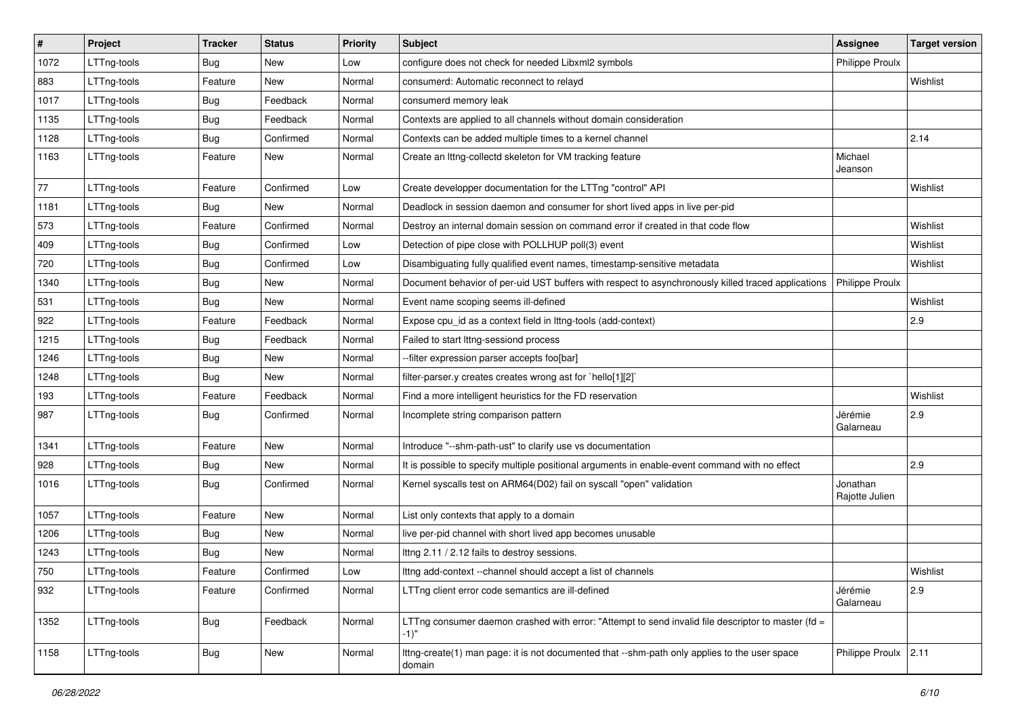| $\sharp$ | Project     | <b>Tracker</b> | <b>Status</b> | Priority | <b>Subject</b>                                                                                             | <b>Assignee</b>            | <b>Target version</b> |
|----------|-------------|----------------|---------------|----------|------------------------------------------------------------------------------------------------------------|----------------------------|-----------------------|
| 1072     | LTTng-tools | <b>Bug</b>     | New           | Low      | configure does not check for needed Libxml2 symbols                                                        | Philippe Proulx            |                       |
| 883      | LTTng-tools | Feature        | New           | Normal   | consumerd: Automatic reconnect to relayd                                                                   |                            | Wishlist              |
| 1017     | LTTng-tools | <b>Bug</b>     | Feedback      | Normal   | consumerd memory leak                                                                                      |                            |                       |
| 1135     | LTTng-tools | <b>Bug</b>     | Feedback      | Normal   | Contexts are applied to all channels without domain consideration                                          |                            |                       |
| 1128     | LTTng-tools | <b>Bug</b>     | Confirmed     | Normal   | Contexts can be added multiple times to a kernel channel                                                   |                            | 2.14                  |
| 1163     | LTTng-tools | Feature        | New           | Normal   | Create an Ittng-collectd skeleton for VM tracking feature                                                  | Michael<br>Jeanson         |                       |
| 77       | LTTng-tools | Feature        | Confirmed     | Low      | Create developper documentation for the LTTng "control" API                                                |                            | Wishlist              |
| 1181     | LTTng-tools | <b>Bug</b>     | New           | Normal   | Deadlock in session daemon and consumer for short lived apps in live per-pid                               |                            |                       |
| 573      | LTTng-tools | Feature        | Confirmed     | Normal   | Destroy an internal domain session on command error if created in that code flow                           |                            | Wishlist              |
| 409      | LTTng-tools | <b>Bug</b>     | Confirmed     | Low      | Detection of pipe close with POLLHUP poll(3) event                                                         |                            | Wishlist              |
| 720      | LTTng-tools | <b>Bug</b>     | Confirmed     | Low      | Disambiguating fully qualified event names, timestamp-sensitive metadata                                   |                            | Wishlist              |
| 1340     | LTTng-tools | <b>Bug</b>     | New           | Normal   | Document behavior of per-uid UST buffers with respect to asynchronously killed traced applications         | Philippe Proulx            |                       |
| 531      | LTTng-tools | <b>Bug</b>     | New           | Normal   | Event name scoping seems ill-defined                                                                       |                            | Wishlist              |
| 922      | LTTng-tools | Feature        | Feedback      | Normal   | Expose cpu_id as a context field in lttng-tools (add-context)                                              |                            | 2.9                   |
| 1215     | LTTng-tools | <b>Bug</b>     | Feedback      | Normal   | Failed to start lttng-sessiond process                                                                     |                            |                       |
| 1246     | LTTng-tools | <b>Bug</b>     | New           | Normal   | --filter expression parser accepts foo[bar]                                                                |                            |                       |
| 1248     | LTTng-tools | <b>Bug</b>     | New           | Normal   | filter-parser.y creates creates wrong ast for `hello[1][2]`                                                |                            |                       |
| 193      | LTTng-tools | Feature        | Feedback      | Normal   | Find a more intelligent heuristics for the FD reservation                                                  |                            | Wishlist              |
| 987      | LTTng-tools | <b>Bug</b>     | Confirmed     | Normal   | Incomplete string comparison pattern                                                                       | Jérémie<br>Galarneau       | 2.9                   |
| 1341     | LTTng-tools | Feature        | New           | Normal   | Introduce "--shm-path-ust" to clarify use vs documentation                                                 |                            |                       |
| 928      | LTTng-tools | <b>Bug</b>     | New           | Normal   | It is possible to specify multiple positional arguments in enable-event command with no effect             |                            | 2.9                   |
| 1016     | LTTng-tools | <b>Bug</b>     | Confirmed     | Normal   | Kernel syscalls test on ARM64(D02) fail on syscall "open" validation                                       | Jonathan<br>Rajotte Julien |                       |
| 1057     | LTTng-tools | Feature        | New           | Normal   | List only contexts that apply to a domain                                                                  |                            |                       |
| 1206     | LTTng-tools | Bug            | New           | Normal   | live per-pid channel with short lived app becomes unusable                                                 |                            |                       |
| 1243     | LTTng-tools | <b>Bug</b>     | New           | Normal   | Ittng 2.11 / 2.12 fails to destroy sessions.                                                               |                            |                       |
| 750      | LTTng-tools | Feature        | Confirmed     | _OW      | Ittng add-context --channel should accept a list of channels                                               |                            | Wishlist              |
| 932      | LTTng-tools | Feature        | Confirmed     | Normal   | LTTng client error code semantics are ill-defined                                                          | Jérémie<br>Galarneau       | 2.9                   |
| 1352     | LTTng-tools | Bug            | Feedback      | Normal   | LTTng consumer daemon crashed with error: "Attempt to send invalid file descriptor to master (fd =<br>-1)" |                            |                       |
| 1158     | LTTng-tools | Bug            | New           | Normal   | Ittng-create(1) man page: it is not documented that --shm-path only applies to the user space<br>domain    | Philippe Proulx 2.11       |                       |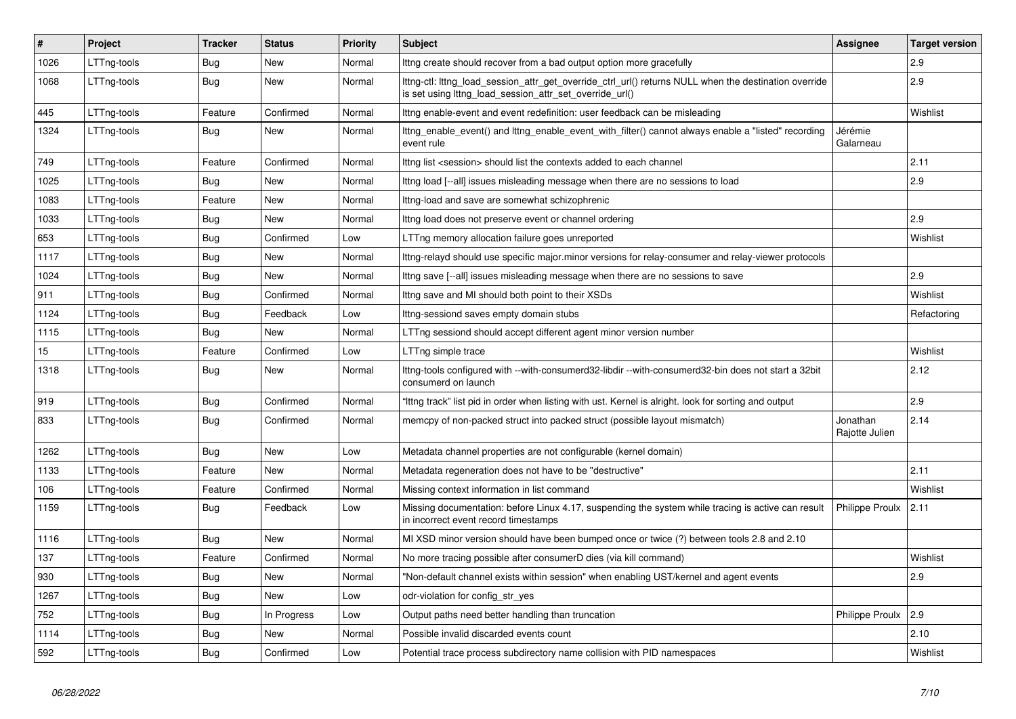| #    | Project     | <b>Tracker</b> | <b>Status</b> | <b>Priority</b> | <b>Subject</b>                                                                                                                                                   | Assignee                   | <b>Target version</b> |
|------|-------------|----------------|---------------|-----------------|------------------------------------------------------------------------------------------------------------------------------------------------------------------|----------------------------|-----------------------|
| 1026 | LTTng-tools | Bug            | New           | Normal          | lttng create should recover from a bad output option more gracefully                                                                                             |                            | 2.9                   |
| 1068 | LTTng-tools | <b>Bug</b>     | New           | Normal          | lttng-ctl: lttng_load_session_attr_get_override_ctrl_url() returns NULL when the destination override<br>is set using lttng_load_session_attr_set_override_url() |                            | 2.9                   |
| 445  | LTTng-tools | Feature        | Confirmed     | Normal          | Ittng enable-event and event redefinition: user feedback can be misleading                                                                                       |                            | Wishlist              |
| 1324 | LTTng-tools | <b>Bug</b>     | New           | Normal          | Ittng enable event() and Ittng enable event with filter() cannot always enable a "listed" recording<br>event rule                                                | Jérémie<br>Galarneau       |                       |
| 749  | LTTng-tools | Feature        | Confirmed     | Normal          | Ittng list <session> should list the contexts added to each channel</session>                                                                                    |                            | 2.11                  |
| 1025 | LTTng-tools | Bug            | <b>New</b>    | Normal          | Ittng load [--all] issues misleading message when there are no sessions to load                                                                                  |                            | 2.9                   |
| 1083 | LTTng-tools | Feature        | <b>New</b>    | Normal          | Ittng-load and save are somewhat schizophrenic                                                                                                                   |                            |                       |
| 1033 | LTTng-tools | Bug            | <b>New</b>    | Normal          | Ittng load does not preserve event or channel ordering                                                                                                           |                            | 2.9                   |
| 653  | LTTng-tools | <b>Bug</b>     | Confirmed     | Low             | LTTng memory allocation failure goes unreported                                                                                                                  |                            | Wishlist              |
| 1117 | LTTng-tools | <b>Bug</b>     | <b>New</b>    | Normal          | lttng-relayd should use specific major minor versions for relay-consumer and relay-viewer protocols                                                              |                            |                       |
| 1024 | LTTng-tools | <b>Bug</b>     | <b>New</b>    | Normal          | Ittng save [--all] issues misleading message when there are no sessions to save                                                                                  |                            | 2.9                   |
| 911  | LTTng-tools | Bug            | Confirmed     | Normal          | Ittng save and MI should both point to their XSDs                                                                                                                |                            | Wishlist              |
| 1124 | LTTng-tools | Bug            | Feedback      | Low             | Ittng-sessiond saves empty domain stubs                                                                                                                          |                            | Refactoring           |
| 1115 | LTTng-tools | Bug            | New           | Normal          | LTTng sessiond should accept different agent minor version number                                                                                                |                            |                       |
| 15   | LTTng-tools | Feature        | Confirmed     | Low             | LTTng simple trace                                                                                                                                               |                            | Wishlist              |
| 1318 | LTTng-tools | Bug            | New           | Normal          | lttng-tools configured with --with-consumerd32-libdir --with-consumerd32-bin does not start a 32bit<br>consumerd on launch                                       |                            | 2.12                  |
| 919  | LTTng-tools | <b>Bug</b>     | Confirmed     | Normal          | "Ittng track" list pid in order when listing with ust. Kernel is alright. look for sorting and output                                                            |                            | 2.9                   |
| 833  | LTTng-tools | Bug            | Confirmed     | Normal          | memcpy of non-packed struct into packed struct (possible layout mismatch)                                                                                        | Jonathan<br>Rajotte Julien | 2.14                  |
| 1262 | LTTng-tools | Bug            | <b>New</b>    | Low             | Metadata channel properties are not configurable (kernel domain)                                                                                                 |                            |                       |
| 1133 | LTTng-tools | Feature        | New           | Normal          | Metadata regeneration does not have to be "destructive"                                                                                                          |                            | 2.11                  |
| 106  | LTTng-tools | Feature        | Confirmed     | Normal          | Missing context information in list command                                                                                                                      |                            | Wishlist              |
| 1159 | LTTng-tools | <b>Bug</b>     | Feedback      | Low             | Missing documentation: before Linux 4.17, suspending the system while tracing is active can result<br>in incorrect event record timestamps                       | <b>Philippe Proulx</b>     | 2.11                  |
| 1116 | LTTng-tools | Bug            | New           | Normal          | MI XSD minor version should have been bumped once or twice (?) between tools 2.8 and 2.10                                                                        |                            |                       |
| 137  | LTTng-tools | Feature        | Confirmed     | Normal          | No more tracing possible after consumerD dies (via kill command)                                                                                                 |                            | Wishlist              |
| 930  | LTTng-tools | Bug            | New           | Normal          | "Non-default channel exists within session" when enabling UST/kernel and agent events                                                                            |                            | 2.9                   |
| 1267 | LTTng-tools | Bug            | New           | Low             | odr-violation for config str yes                                                                                                                                 |                            |                       |
| 752  | LTTng-tools | Bug            | In Progress   | Low             | Output paths need better handling than truncation                                                                                                                | Philippe Proulx            | 2.9                   |
| 1114 | LTTng-tools | Bug            | <b>New</b>    | Normal          | Possible invalid discarded events count                                                                                                                          |                            | 2.10                  |
| 592  | LTTng-tools | Bug            | Confirmed     | Low             | Potential trace process subdirectory name collision with PID namespaces                                                                                          |                            | Wishlist              |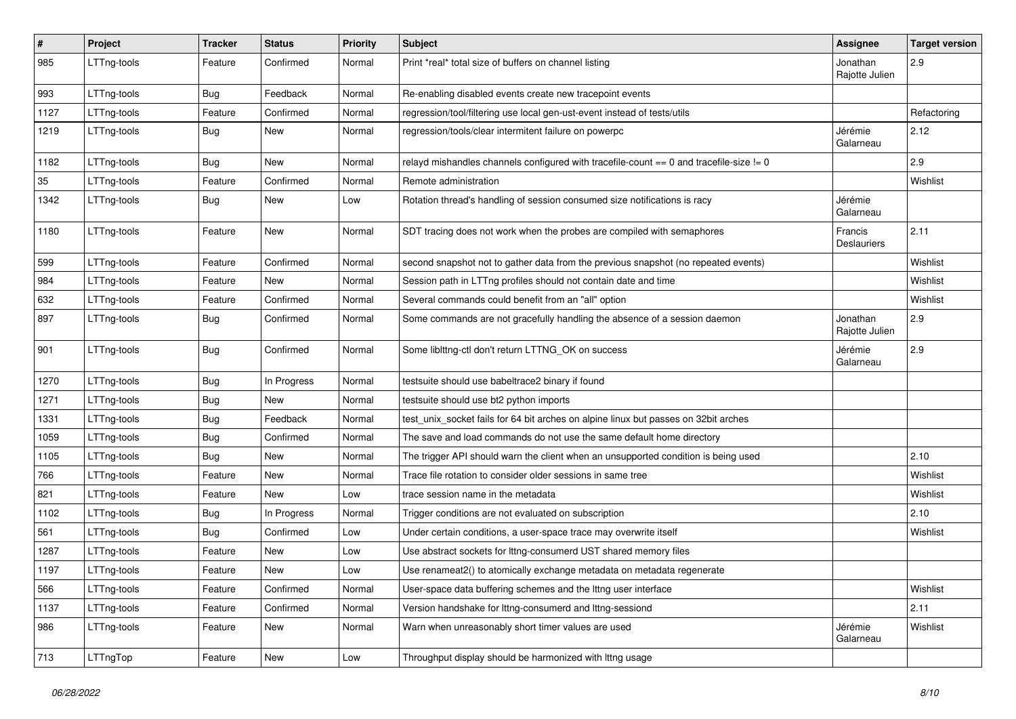| $\vert$ # | Project     | <b>Tracker</b> | <b>Status</b> | Priority | Subject                                                                                 | Assignee                   | <b>Target version</b> |
|-----------|-------------|----------------|---------------|----------|-----------------------------------------------------------------------------------------|----------------------------|-----------------------|
| 985       | LTTng-tools | Feature        | Confirmed     | Normal   | Print *real* total size of buffers on channel listing                                   | Jonathan<br>Rajotte Julien | 2.9                   |
| 993       | LTTng-tools | Bug            | Feedback      | Normal   | Re-enabling disabled events create new tracepoint events                                |                            |                       |
| 1127      | LTTng-tools | Feature        | Confirmed     | Normal   | regression/tool/filtering use local gen-ust-event instead of tests/utils                |                            | Refactoring           |
| 1219      | LTTng-tools | <b>Bug</b>     | New           | Normal   | regression/tools/clear intermitent failure on powerpc                                   | Jérémie<br>Galarneau       | 2.12                  |
| 1182      | LTTng-tools | <b>Bug</b>     | New           | Normal   | relayd mishandles channels configured with tracefile-count == 0 and tracefile-size != 0 |                            | 2.9                   |
| 35        | LTTng-tools | Feature        | Confirmed     | Normal   | Remote administration                                                                   |                            | Wishlist              |
| 1342      | LTTng-tools | <b>Bug</b>     | New           | Low      | Rotation thread's handling of session consumed size notifications is racy               | Jérémie<br>Galarneau       |                       |
| 1180      | LTTng-tools | Feature        | New           | Normal   | SDT tracing does not work when the probes are compiled with semaphores                  | Francis<br>Deslauriers     | 2.11                  |
| 599       | LTTng-tools | Feature        | Confirmed     | Normal   | second snapshot not to gather data from the previous snapshot (no repeated events)      |                            | Wishlist              |
| 984       | LTTng-tools | Feature        | New           | Normal   | Session path in LTTng profiles should not contain date and time                         |                            | Wishlist              |
| 632       | LTTng-tools | Feature        | Confirmed     | Normal   | Several commands could benefit from an "all" option                                     |                            | Wishlist              |
| 897       | LTTng-tools | <b>Bug</b>     | Confirmed     | Normal   | Some commands are not gracefully handling the absence of a session daemon               | Jonathan<br>Rajotte Julien | 2.9                   |
| 901       | LTTng-tools | <b>Bug</b>     | Confirmed     | Normal   | Some liblttng-ctl don't return LTTNG_OK on success                                      | Jérémie<br>Galarneau       | 2.9                   |
| 1270      | LTTng-tools | <b>Bug</b>     | In Progress   | Normal   | testsuite should use babeltrace2 binary if found                                        |                            |                       |
| 1271      | LTTng-tools | <b>Bug</b>     | New           | Normal   | testsuite should use bt2 python imports                                                 |                            |                       |
| 1331      | LTTng-tools | <b>Bug</b>     | Feedback      | Normal   | test_unix_socket fails for 64 bit arches on alpine linux but passes on 32bit arches     |                            |                       |
| 1059      | LTTng-tools | <b>Bug</b>     | Confirmed     | Normal   | The save and load commands do not use the same default home directory                   |                            |                       |
| 1105      | LTTng-tools | <b>Bug</b>     | <b>New</b>    | Normal   | The trigger API should warn the client when an unsupported condition is being used      |                            | 2.10                  |
| 766       | LTTng-tools | Feature        | New           | Normal   | Trace file rotation to consider older sessions in same tree                             |                            | Wishlist              |
| 821       | LTTng-tools | Feature        | New           | Low      | trace session name in the metadata                                                      |                            | Wishlist              |
| 1102      | LTTng-tools | <b>Bug</b>     | In Progress   | Normal   | Trigger conditions are not evaluated on subscription                                    |                            | 2.10                  |
| 561       | LTTng-tools | <b>Bug</b>     | Confirmed     | Low      | Under certain conditions, a user-space trace may overwrite itself                       |                            | Wishlist              |
| 1287      | LTTng-tools | Feature        | New           | Low      | Use abstract sockets for Ittng-consumerd UST shared memory files                        |                            |                       |
| 1197      | LTTng-tools | Feature        | New           | Low      | Use renameat2() to atomically exchange metadata on metadata regenerate                  |                            |                       |
| 566       | LTTng-tools | Feature        | Confirmed     | Normal   | User-space data buffering schemes and the lttng user interface                          |                            | Wishlist              |
| 1137      | LTTng-tools | Feature        | Confirmed     | Normal   | Version handshake for lttng-consumerd and lttng-sessiond                                |                            | 2.11                  |
| 986       | LTTng-tools | Feature        | New           | Normal   | Warn when unreasonably short timer values are used                                      | Jérémie<br>Galarneau       | Wishlist              |
| 713       | LTTngTop    | Feature        | New           | Low      | Throughput display should be harmonized with Ittng usage                                |                            |                       |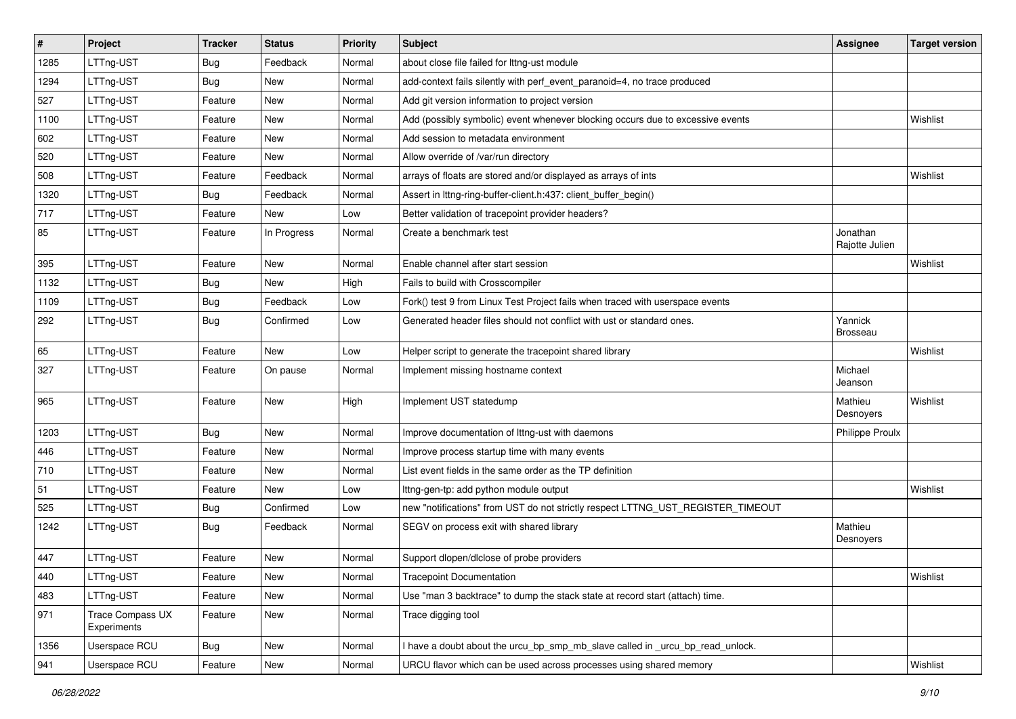| #    | Project                                | <b>Tracker</b> | <b>Status</b> | <b>Priority</b> | Subject                                                                         | Assignee                   | <b>Target version</b> |
|------|----------------------------------------|----------------|---------------|-----------------|---------------------------------------------------------------------------------|----------------------------|-----------------------|
| 1285 | LTTng-UST                              | <b>Bug</b>     | Feedback      | Normal          | about close file failed for lttng-ust module                                    |                            |                       |
| 1294 | LTTng-UST                              | <b>Bug</b>     | New           | Normal          | add-context fails silently with perf_event_paranoid=4, no trace produced        |                            |                       |
| 527  | LTTng-UST                              | Feature        | New           | Normal          | Add git version information to project version                                  |                            |                       |
| 1100 | LTTng-UST                              | Feature        | New           | Normal          | Add (possibly symbolic) event whenever blocking occurs due to excessive events  |                            | Wishlist              |
| 602  | LTTng-UST                              | Feature        | New           | Normal          | Add session to metadata environment                                             |                            |                       |
| 520  | LTTng-UST                              | Feature        | New           | Normal          | Allow override of /var/run directory                                            |                            |                       |
| 508  | LTTng-UST                              | Feature        | Feedback      | Normal          | arrays of floats are stored and/or displayed as arrays of ints                  |                            | Wishlist              |
| 1320 | LTTng-UST                              | <b>Bug</b>     | Feedback      | Normal          | Assert in Ittng-ring-buffer-client.h:437: client_buffer_begin()                 |                            |                       |
| 717  | LTTng-UST                              | Feature        | New           | Low             | Better validation of tracepoint provider headers?                               |                            |                       |
| 85   | LTTng-UST                              | Feature        | In Progress   | Normal          | Create a benchmark test                                                         | Jonathan<br>Rajotte Julien |                       |
| 395  | LTTng-UST                              | Feature        | New           | Normal          | Enable channel after start session                                              |                            | Wishlist              |
| 1132 | LTTng-UST                              | <b>Bug</b>     | New           | High            | Fails to build with Crosscompiler                                               |                            |                       |
| 1109 | LTTng-UST                              | <b>Bug</b>     | Feedback      | Low             | Fork() test 9 from Linux Test Project fails when traced with userspace events   |                            |                       |
| 292  | LTTng-UST                              | <b>Bug</b>     | Confirmed     | Low             | Generated header files should not conflict with ust or standard ones.           | Yannick<br>Brosseau        |                       |
| 65   | LTTng-UST                              | Feature        | New           | Low             | Helper script to generate the tracepoint shared library                         |                            | Wishlist              |
| 327  | LTTng-UST                              | Feature        | On pause      | Normal          | Implement missing hostname context                                              | Michael<br>Jeanson         |                       |
| 965  | LTTng-UST                              | Feature        | New           | High            | Implement UST statedump                                                         | Mathieu<br>Desnoyers       | Wishlist              |
| 1203 | LTTng-UST                              | Bug            | New           | Normal          | Improve documentation of Ittng-ust with daemons                                 | <b>Philippe Proulx</b>     |                       |
| 446  | LTTng-UST                              | Feature        | New           | Normal          | Improve process startup time with many events                                   |                            |                       |
| 710  | LTTng-UST                              | Feature        | New           | Normal          | List event fields in the same order as the TP definition                        |                            |                       |
| 51   | LTTng-UST                              | Feature        | New           | Low             | Ittng-gen-tp: add python module output                                          |                            | Wishlist              |
| 525  | LTTng-UST                              | <b>Bug</b>     | Confirmed     | Low             | new "notifications" from UST do not strictly respect LTTNG_UST_REGISTER_TIMEOUT |                            |                       |
| 1242 | LTTng-UST                              | <b>Bug</b>     | Feedback      | Normal          | SEGV on process exit with shared library                                        | Mathieu<br>Desnoyers       |                       |
| 447  | LTTng-UST                              | Feature        | New           | Normal          | Support dlopen/dlclose of probe providers                                       |                            |                       |
| 440  | LTTng-UST                              | Feature        | New           | Normal          | Tracepoint Documentation                                                        |                            | Wishlist              |
| 483  | LTTng-UST                              | Feature        | New           | Normal          | Use "man 3 backtrace" to dump the stack state at record start (attach) time.    |                            |                       |
| 971  | <b>Trace Compass UX</b><br>Experiments | Feature        | New           | Normal          | Trace digging tool                                                              |                            |                       |
| 1356 | Userspace RCU                          | <b>Bug</b>     | New           | Normal          | I have a doubt about the urcu_bp_smp_mb_slave called in _urcu_bp_read_unlock.   |                            |                       |
| 941  | Userspace RCU                          | Feature        | New           | Normal          | URCU flavor which can be used across processes using shared memory              |                            | Wishlist              |